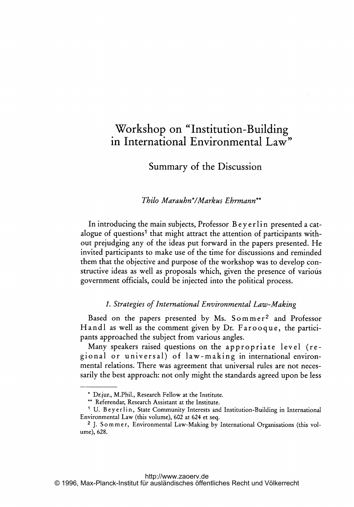# Workshop on "Institution-Building in International Environmental Law"

# Summary of the Discussion

### Thilo Marauhn\*lMarkus Ehrmann\*\*

In introducing the main subjects, Professor Beyerlin presented a catalogue of questions<sup>1</sup> that might attract the attention of participants without prejudging any of the ideas put forward in the papers presented. He invited participants to make use of the time for discussions and reminded them that the objective and purpose of the workshop was to develop constructive ideas as well as proposals which, given the presence of various government officials, could be injected into the political process.

#### 1. Strategies of International Environmental Law-Making

Based on the papers presented by Ms. Sommer<sup>2</sup> and Professor Handl as well as the comment given by Dr. Farooque, the participants approached the subject from various angles.

Many speakers raised questions on the appropriate level (regional or universal) of law-making in international environmental relations. There was agreement that universal rules are not necessarily the best approach: not only might the standards agreed upon be less

Drjur., M.Phil., Research Fellow at the Institute.

<sup>\*\*</sup> Referendar, Research Assistant at the Institute.

<sup>&</sup>lt;sup>1</sup> U. Beyerlin, State Community Interests and Institution-Building in International Environmental Law (this volume), <sup>602</sup> at <sup>624</sup> et seq.

<sup>&</sup>lt;sup>2</sup> J. Sommer, Environmental Law-Making by International Organisations (this volume), 628.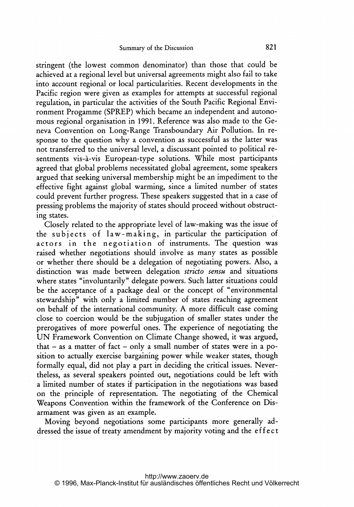stringent (the lowest common denominator) than those that could be achieved at <sup>a</sup> regional level but universal agreements might also fail to take into account regional or local particularities. Recent developments in the Pacific region were given as examples for attempts at successful regional regulation, in particular the activities of the South Pacific Regional Environment Progamme (SPREP) which became an independent and autonomous regional organisation in 1991. Reference was also made to the Geneva Convention on Long-Range Transboundary Air Pollution. In response to the question why <sup>a</sup> convention as successful as the latter was not transferred to the universal level, a discussant pointed to political resentments vis-à-vis European-type solutions. While most participants agreed that global problems necessitated global agreement, some speakers argued that seeking universal membership might be an impediment to the effective fight against global warming, since <sup>a</sup> limited number of states could prevent further progress. These speakers suggested that in <sup>a</sup> case of pressing problems the majority of states should proceed without obstructing states.

Closely related to the appropriate level of law-making was the issue of the subjects of law-making, in particular the participation of actors in the negotiation of instruments. The question was raised whether negotiations should involve as many states as possible or whether there should be <sup>a</sup> delegation of negotiating powers. Also, <sup>a</sup> distinction was made between delegation stricto sensu and situations where states "involuntarily" delegate powers. Such latter situations could be the acceptance of <sup>a</sup> package deal or the concept of "environmental stewardship" with only <sup>a</sup> limited number of states reaching agreement on behalf of the international community. A more difficult case coming close to coercion would be the subjugation of smaller states under the prerogatives of more powerful ones. The experience of negotiating the UN Framework Convention on Climate Change showed, it was argued, that - as a matter of fact - only a small number of states were in a position to actually exercise bargaining power while weaker states, though formally equal, did not play <sup>a</sup> part in deciding the critical issues. Nevertheless, as several speakers pointed out, negotiations could be left with <sup>a</sup> limited number of states if participation in the negotiations was based on the principle of representation. The negotiating of the Chemical Weapons Convention within the framework of the Conference on Disarmament was given as an example.

Moving beyond negotiations some participants more generally addressed the issue of treaty amendment by majority voting and the effect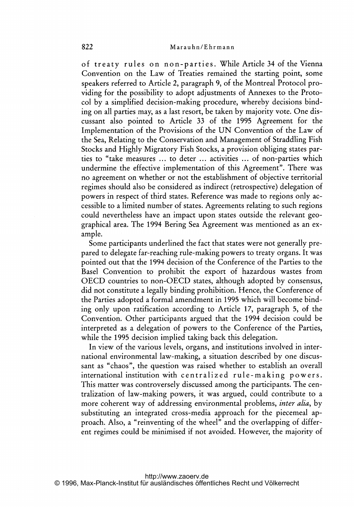of treaty rules on non-parties. While Article <sup>34</sup> of the Vienna Convention on the Law of Treaties remained the starting point, some speakers referred to Article 2, paragraph 9, of the Montreal Protocol providing for the possibility to adopt adjustments of Annexes to the Protocol by <sup>a</sup> simplified decision-making procedure, whereby decisions binding on all parties may, as <sup>a</sup> last resort, be taken by majority vote. One discussant also pointed to Article 33 of the 1995 Agreement for the Implementation of the Provisions of the UN Convention of the Law of the Sea, Relating to the Conservation and Management of Straddling Fish Stocks and Highly Migratory Fish Stocks, <sup>a</sup> provision obliging states parties to "take measures ... to deter ... activities ... of non-parties which undermine the effective implementation of this Agreement". There was no agreement on whether or not the establishment of objective territorial regimes should also be considered as indirect (retrospective) delegation of powers in respect of third states. Reference was made to regions only accessible to <sup>a</sup> limited number of states. Agreements relating to such regions could nevertheless have an impact upon states outside the relevant geographical area. The 1994 Bering Sea Agreement was mentioned as an example.

Some participants underlined the fact that states were not generally prepared to delegate far-reaching rule-making powers to treaty organs. It was pointed out that the 1994 decision of the Conference of the Parties to the Basel Convention to prohibit the export of hazardous wastes from OECD countries to non-OECD states, although adopted by consensus, did not constitute <sup>a</sup> legally binding prohibition. Hence, the Conference of the Parties adopted <sup>a</sup> formal amendment in 1995 which will become binding only upon ratification according to Article 17, paragraph 5, of the Convention. Other participants argued that the 1994 decision could be interpreted as <sup>a</sup> delegation of powers to the Conference of the Parties, while the 1995 decision implied taking back this delegation.

In view of the various levels, organs, and institutions involved in international environmental law-making, <sup>a</sup> situation described by one discussant as "chaos", the question was raised whether to establish an overall international institution with centralized rule-making powers. This matter was controversely discussed among the participants. The centralization of law-making powers, it was argued, could contribute to <sup>a</sup> more coherent way of addressing environmental problems, *inter alia*, by substituting an integrated cross-media approach for the piecemeal approach. Also, <sup>a</sup> "reinventing of the wheel" and the overlapping of different regimes could be minimised if not avoided. However, the majority of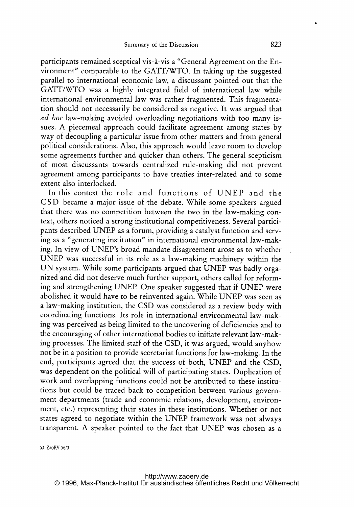participants remained sceptical vis-à-vis a "General Agreement on the Environment" comparable to the GATT/WTO. In taking up the suggested parallel to international economic law, <sup>a</sup> discussant pointed out that the GATT/WTO was <sup>a</sup> highly integrated field of international law while international environmental law was rather fragmented. This fragmentation should not necessarily be considered as negative. It was argued that ad hoc law-making avoided overloading negotiations with too many issues. A piecemeal approach could facilitate agreement among states by way of decoupling <sup>a</sup> particular issue from other matters and from general political considerations. Also, this approach would leave room to develop some agreements further and quicker than others. The general scepticism of most discussants towards centralized rule-making did not prevent agreement among participants to have treaties inter-related and to some extent also interlocked.

In this context the role and functions of UNEP and the CSD became <sup>a</sup> major issue of the debate. While some speakers argued that there was no competition between the two in the law-making context, others noticed a strong institutional competitiveness. Several participants described UNEP as <sup>a</sup> forum, providing <sup>a</sup> catalyst function and serving as <sup>a</sup> "generating institution" in international environmental law-making. In view of UNEP's broad mandate disagreement arose as to whether UNEP was successful in its role as <sup>a</sup> law-making machinery within the UN system. While some participants argued that UNEP was badly organized and did not deserve much further support, others called for reforming and strengthening UNER One speaker suggested that if UNEP were abolished it would have to be reinvented again. While UNEP was seen as <sup>a</sup> law-making institution, the CSD was considered as <sup>a</sup> review body with coordinating functions. Its role in international environmental law-making was perceived as being limited to the uncovering of deficiencies and to the encouraging of other international bodies to initiate relevant law-making processes. The limited staff of the CSD, it was argued, would anyhow not be in <sup>a</sup> position to provide secretariat functions for law-making. In the end, participants agreed that the success of both, UNEP and the CSD, was dependent on the political will of participating states. Duplication of work and overlapping functions could not be attributed to these institutions but could be traced back to competition between various government departments (trade and economic relations, development, environment, etc.) representing their states in these institutions. Whether or not states agreed to negotiate within the UNEP framework was not always transparent. A speaker pointed to the fact that UNEP was chosen as <sup>a</sup>

53 Za6RV 56/3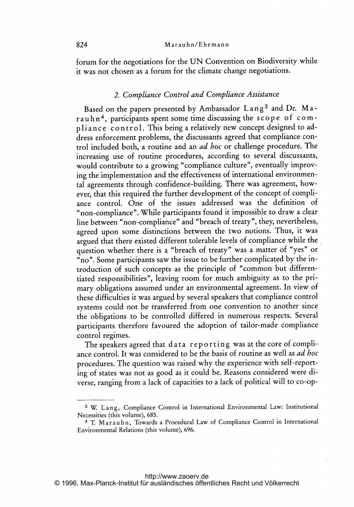forum for the negotiations for the UN Convention on Biodiversity while it was not chosen as <sup>a</sup> forum for the climate change negotiations.

#### 2. Compliance Control and Compliance Assistance

Based on the papers presented by Ambassador Lang<sup>3</sup> and Dr. Marauhn<sup>4</sup>, participants spent some time discussing the scope of compliance control. This being a relatively new concept designed to address enforcement problems, the discussants agreed that compliance control included both, a routine and an *ad hoc* or challenge procedure. The increasing use of routine procedures, according to several discussants, would contribute to a growing "compliance culture", eventually improving the implementation and the effectiveness of international environmental agreements through confidence-building. There was agreement, however, that this required the further development of the concept of compliance control. One of the issues addressed was the definition of "non-compliance". While participants found it impossible to draw a clear line between "non-compliance" and "breach of treaty", they, nevertheless, agreed upon some distinctions between the two notions. Thus, it was argued that there existed different tolerable levels of compliance while the question whether there is <sup>a</sup> "breach of treaty" was <sup>a</sup> matter of "yes" or "no". Some participants saw the issue to be further complicated by the introduction of such concepts as the principle of "common but differentiated responsibilities", leaving room for much ambiguity as to the primary obligations assumed under an environmental agreement. In view of these difficulties it was argued by several speakers that compliance control systems could not be transferred from one convention to another since the obligations to be controlled differed in numerous respects. Several participants therefore favoured the adoption of tailor-made compliance control regimes.

The speakers agreed that data reporting was at the core of compliance control. It was considered to be the basis of routine as well as ad hoc procedures. The question was raised why the experience with self-reporting of states was not as good as it could be. Reasons considered were diverse, ranging from <sup>a</sup> lack of capacities to <sup>a</sup> lack of political will to co-op-

<sup>&</sup>lt;sup>3</sup> W. Lang, Compliance Control in International Environmental Law: Institutional Necessities (this volume), 685.

<sup>4</sup> T. Marauhn, Towards <sup>a</sup> Procedural Law of Compliance Control in International Environmental Relations (this volume), 696.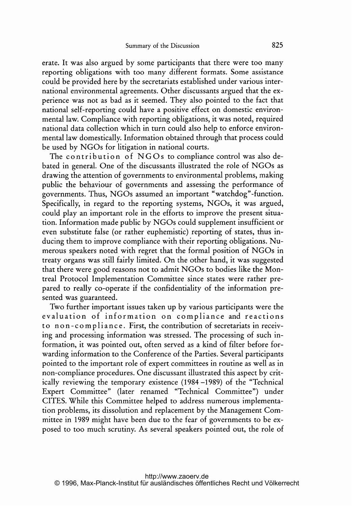erate. It was also argued by some participants that there were too many reporting obligations with too many different formats. Some assistance could be provided here by the secretariats established under various international environmental agreements. Other discussants argued that the experience was not as bad as it seemed. They also pointed to the fact that national self-reporting could have <sup>a</sup> positive effect on domestic environmental law. Compliance with reporting obligations, it was noted, required national data collection which in turn could also help to enforce environmental law domestically. Information obtained through that process could be used by NGOs for litigation in national courts.

The contribution of  $NGOs$  to compliance control was also debated in general. One of the discussants illustrated the role of NGOs as drawing the attention of governments to environmental problems, making public the behaviour of governments and assessing the performance of governments. Thus, NGOs assumed an important "watchdog"-function. Specifically, in regard to the reporting systems, NGOs, it was argued, could play an important role in the efforts to improve the present situation. Information made public by NGOs could supplement insufficient or even substitute false (or rather euphemistic) reporting of states, thus inducing them to improve compliance with their reporting obligations. Numerous speakers noted with regret that the formal position of NGOs in treaty organs was still fairly limited. On the other hand, it was suggested that there were good reasons not to admit NGOs to bodies like the Montreal Protocol Implementation Committee since states were rather prepared to really co-operate if the confidentiality of the information presented was guaranteed.

Two further important issues taken up by various participants were the evaluation of information on compliance and reactions to non-compliance. First, the contribution of secretariats in receiving and processing information was stressed. The processing of such information, it was pointed out, often served as <sup>a</sup> kind of filter before forwarding information to the Conference of the Parties. Several participants pointed to the important role of expert committees in routine as well as in non-compliance procedures. One discussant illustrated this aspect by critically reviewing the temporary existence (1984 -1989) of the "Technical Expert Committee" (later renamed "Technical Committee") under CITES. While this Committee helped to address numerous implementation problems, its dissolution and replacement by the Management Committee in 1989 might have been due to the fear of governments to be exposed to too much scrutiny. As several speakers pointed out, the role of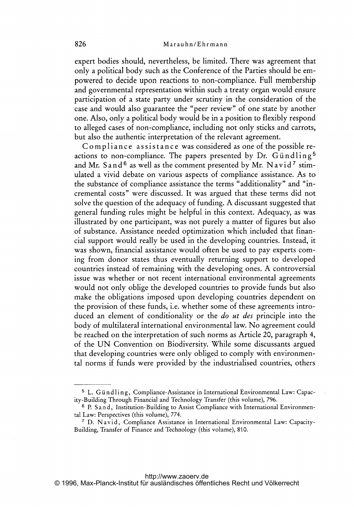expert bodies should, nevertheless, be limited. There was agreement that only <sup>a</sup> political body such as the Conference of the Parties should be empowered to decide upon reactions to non-compliance. Full membership and governmental representation within such <sup>a</sup> treaty organ would ensure participation of <sup>a</sup> state party under scrutiny in the consideration of the case and would also guarantee the "peer review" of one state by another one. Also, only <sup>a</sup> political body would be in <sup>a</sup> position to flexibly respond to alleged cases of non-compliance, including not only sticks and carrots, but also the authentic interpretation of the relevant agreement.

Compliance assistance was considered as one of the possible reactions to non-compliance. The papers presented by Dr. Gündling<sup>5</sup> and Mr. S and <sup>6</sup> as well as the comment presented by Mr. Navid<sup>7</sup> stimulated <sup>a</sup> vivid debate on various aspects of compliance assistance. As to the substance of compliance assistance the terms "additionality" and "incremental costs" were discussed. It was argued that these terms did not solve the question of the adequacy of funding. A discussant suggested that general funding rules might be helpful in this context. Adequacy, as was illustrated by one participant, was not purely <sup>a</sup> matter of figures but also of substance. Assistance needed optimization which included that financial support would really be used in the developing countries. Instead, it was shown, financial assistance would often be used to pay experts coming from donor states thus eventually returning support to developed countries instead of remaining with the developing ones. A controversial issue was whether or not recent international environmental agreements would not only oblige the developed countries to provide funds but also make the obligations imposed upon developing countries dependent on the provision of these funds, i.e. whether some of these agreements introduced an element of conditionality or the *do ut des* principle into the body of multilateral international environmental law. No agreement could be reached on the interpretation of such norms as Article 20, paragraph 4, of the UN Convention on Biodiversity. While some discussants argued that developing countries were only obliged to comply with environmental norms if funds were provided by the industrialised countries, others

<sup>&</sup>lt;sup>5</sup> L. Gündling, Compliance-Assistance in International Environmental Law: Capacity-Building Through Financial and Technology Transfer (this volume), 796.

<sup>6</sup> P. Sand, Institution-Building to Assist Compliance with International Environmental Law: Perspectives (this volume), 774.

<sup>7</sup> D. Navid, Compliance Assistance in International Environmental Law: Capacity-Building, Transfer of Finance and Technology (this volume), 810.